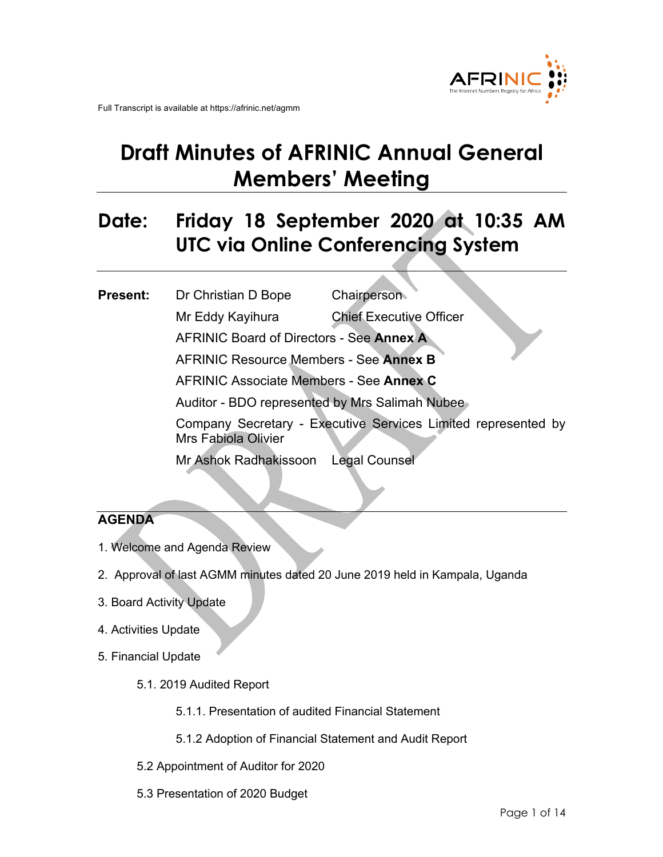

# **Draft Minutes of AFRINIC Annual General Members' Meeting**

# **Date: Friday 18 September 2020 at 10:35 AM UTC via Online Conferencing System**

## **Present:** Dr Christian D Bope Chairperson Mr Eddy Kayihura Chief Executive Officer AFRINIC Board of Directors - See **Annex A** AFRINIC Resource Members - See **Annex B** AFRINIC Associate Members - See **Annex C** Auditor - BDO represented by Mrs Salimah Nubee Company Secretary - Executive Services Limited represented by Mrs Fabiola Olivier Mr Ashok Radhakissoon Legal Counsel

### **AGENDA**

- 1. Welcome and Agenda Review
- 2. Approval of last AGMM minutes dated 20 June 2019 held in Kampala, Uganda
- 3. Board Activity Update
- 4. Activities Update
- 5. Financial Update
	- 5.1. 2019 Audited Report
		- 5.1.1. Presentation of audited Financial Statement
		- 5.1.2 Adoption of Financial Statement and Audit Report
	- 5.2 Appointment of Auditor for 2020
	- 5.3 Presentation of 2020 Budget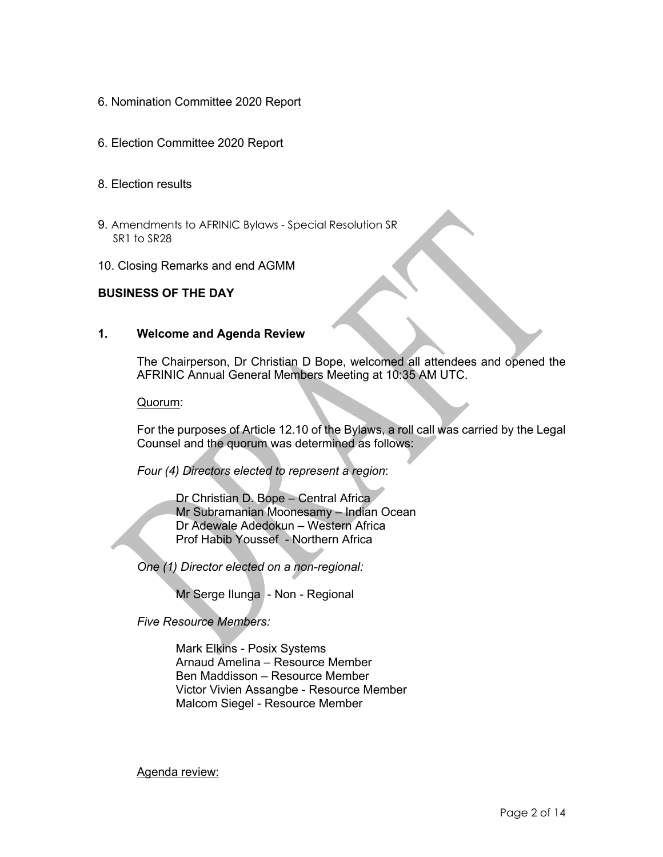- 6. Nomination Committee 2020 Report
- 6. Election Committee 2020 Report
- 8. Election results
- 9. Amendments to AFRINIC Bylaws Special Resolution SR SR1 to SR28
- 10. Closing Remarks and end AGMM

#### **BUSINESS OF THE DAY**

#### **1. Welcome and Agenda Review**

The Chairperson, Dr Christian D Bope, welcomed all attendees and opened the AFRINIC Annual General Members Meeting at 10:35 AM UTC.

#### Quorum:

For the purposes of Article 12.10 of the Bylaws, a roll call was carried by the Legal Counsel and the quorum was determined as follows:

*Four (4) Directors elected to represent a region*:

Dr Christian D. Bope – Central Africa Mr Subramanian Moonesamy – Indian Ocean Dr Adewale Adedokun – Western Africa Prof Habib Youssef - Northern Africa

*One (1) Director elected on a non-regional:* 

Mr Serge Ilunga - Non - Regional

*Five Resource Members:*

Mark Elkins - Posix Systems Arnaud Amelina – Resource Member Ben Maddisson – Resource Member Victor Vivien Assangbe - Resource Member Malcom Siegel - Resource Member

Agenda review: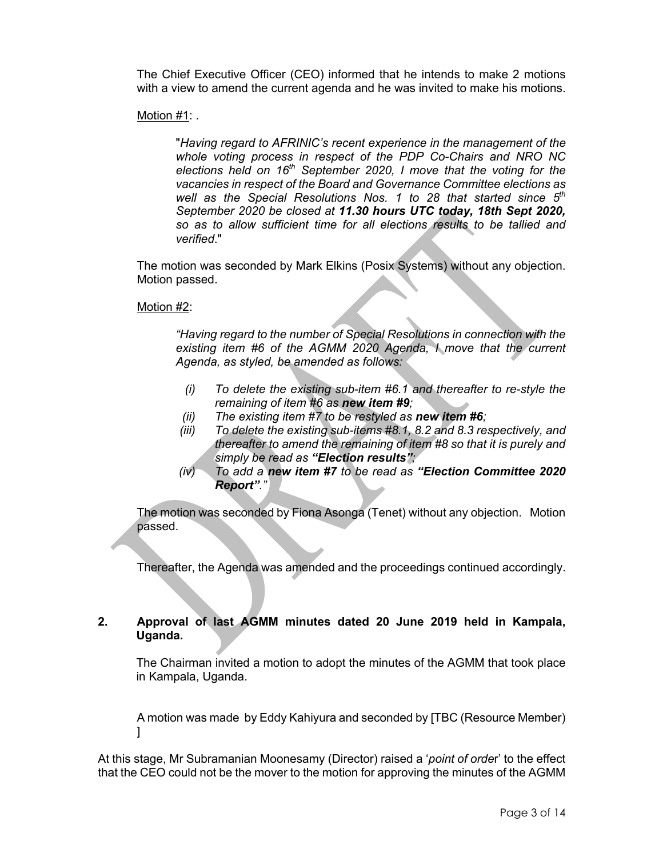The Chief Executive Officer (CEO) informed that he intends to make 2 motions with a view to amend the current agenda and he was invited to make his motions.

Motion #1: .

"*Having regard to AFRINIC's recent experience in the management of the whole voting process in respect of the PDP Co-Chairs and NRO NC elections held on 16th September 2020, I move that the voting for the vacancies in respect of the Board and Governance Committee elections as well as the Special Resolutions Nos. 1 to 28 that started since 5th September 2020 be closed at 11.30 hours UTC today, 18th Sept 2020, so as to allow sufficient time for all elections results to be tallied and verified*."

The motion was seconded by Mark Elkins (Posix Systems) without any objection. Motion passed.

Motion #2:

*"Having regard to the number of Special Resolutions in connection with the existing item #6 of the AGMM 2020 Agenda, I move that the current Agenda, as styled, be amended as follows:*

- *(i) To delete the existing sub-item #6.1 and thereafter to re-style the remaining of item #6 as new item #9;*
- *(ii) The existing item #7 to be restyled as new item #6;*
- *(iii) To delete the existing sub-items #8.1, 8.2 and 8.3 respectively, and thereafter to amend the remaining of item #8 so that it is purely and simply be read as "Election results";*
- *(iv) To add a new item #7 to be read as "Election Committee 2020 Report"."*

The motion was seconded by Fiona Asonga (Tenet) without any objection. Motion passed.

Thereafter, the Agenda was amended and the proceedings continued accordingly.

#### **2. Approval of last AGMM minutes dated 20 June 2019 held in Kampala, Uganda.**

The Chairman invited a motion to adopt the minutes of the AGMM that took place in Kampala, Uganda.

A motion was made by Eddy Kahiyura and seconded by [TBC (Resource Member) ]

At this stage, Mr Subramanian Moonesamy (Director) raised a '*point of orde*r' to the effect that the CEO could not be the mover to the motion for approving the minutes of the AGMM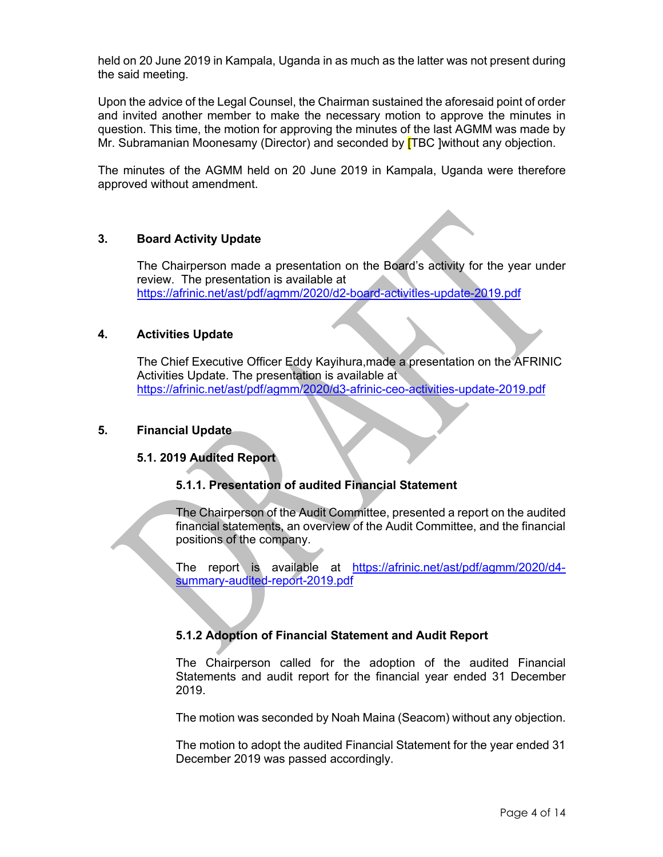held on 20 June 2019 in Kampala, Uganda in as much as the latter was not present during the said meeting.

Upon the advice of the Legal Counsel, the Chairman sustained the aforesaid point of order and invited another member to make the necessary motion to approve the minutes in question. This time, the motion for approving the minutes of the last AGMM was made by Mr. Subramanian Moonesamy (Director) and seconded by **[TBC ]without any objection.** 

The minutes of the AGMM held on 20 June 2019 in Kampala, Uganda were therefore approved without amendment.

#### **3. Board Activity Update**

The Chairperson made a presentation on the Board's activity for the year under review. The presentation is available at https://afrinic.net/ast/pdf/agmm/2020/d2-board-activities-update-2019.pdf

#### **4. Activities Update**

The Chief Executive Officer Eddy Kayihura,made a presentation on the AFRINIC Activities Update. The presentation is available at https://afrinic.net/ast/pdf/agmm/2020/d3-afrinic-ceo-activities-update-2019.pdf

#### **5. Financial Update**

#### **5.1. 2019 Audited Report**

#### **5.1.1. Presentation of audited Financial Statement**

The Chairperson of the Audit Committee, presented a report on the audited financial statements, an overview of the Audit Committee, and the financial positions of the company.

The report is available at https://afrinic.net/ast/pdf/agmm/2020/d4 summary-audited-report-2019.pdf

#### **5.1.2 Adoption of Financial Statement and Audit Report**

The Chairperson called for the adoption of the audited Financial Statements and audit report for the financial year ended 31 December 2019.

The motion was seconded by Noah Maina (Seacom) without any objection.

The motion to adopt the audited Financial Statement for the year ended 31 December 2019 was passed accordingly.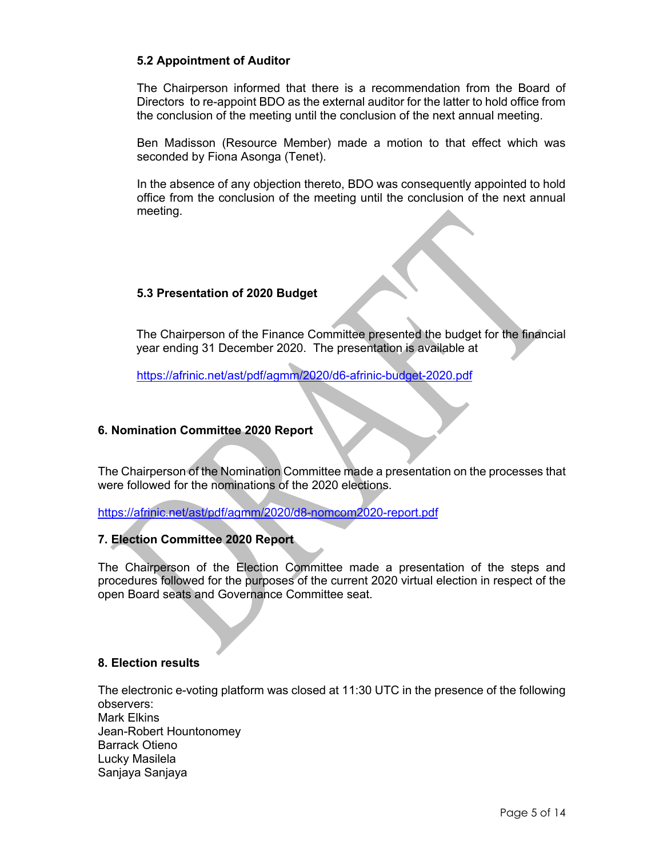#### **5.2 Appointment of Auditor**

The Chairperson informed that there is a recommendation from the Board of Directors to re-appoint BDO as the external auditor for the latter to hold office from the conclusion of the meeting until the conclusion of the next annual meeting.

Ben Madisson (Resource Member) made a motion to that effect which was seconded by Fiona Asonga (Tenet).

In the absence of any objection thereto, BDO was consequently appointed to hold office from the conclusion of the meeting until the conclusion of the next annual meeting.

#### **5.3 Presentation of 2020 Budget**

The Chairperson of the Finance Committee presented the budget for the financial year ending 31 December 2020. The presentation is available at

https://afrinic.net/ast/pdf/agmm/2020/d6-afrinic-budget-2020.pdf

#### **6. Nomination Committee 2020 Report**

The Chairperson of the Nomination Committee made a presentation on the processes that were followed for the nominations of the 2020 elections.

https://afrinic.net/ast/pdf/agmm/2020/d8-nomcom2020-report.pdf

#### **7. Election Committee 2020 Report**

The Chairperson of the Election Committee made a presentation of the steps and procedures followed for the purposes of the current 2020 virtual election in respect of the open Board seats and Governance Committee seat.

#### **8. Election results**

The electronic e-voting platform was closed at 11:30 UTC in the presence of the following observers: Mark Elkins Jean-Robert Hountonomey Barrack Otieno Lucky Masilela Sanjaya Sanjaya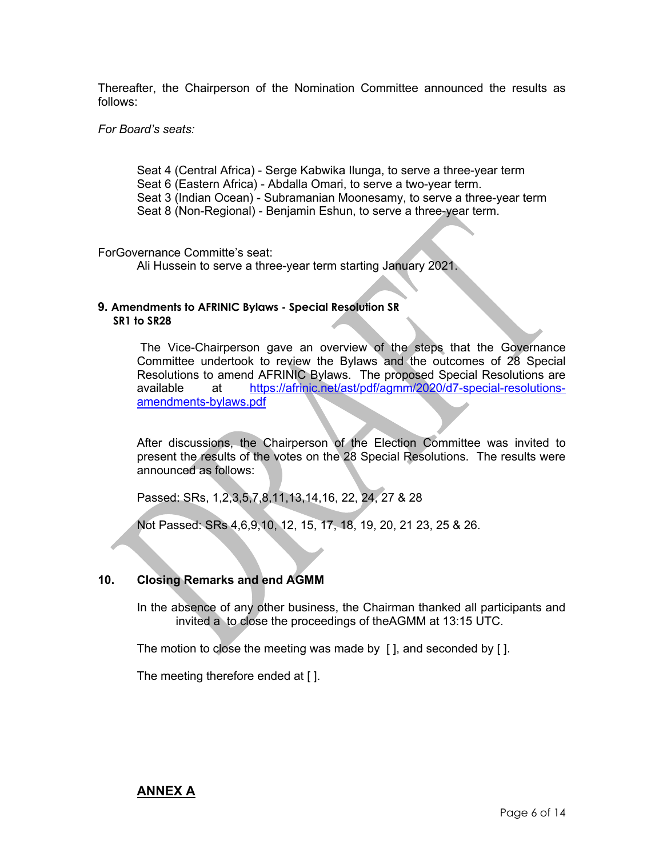Thereafter, the Chairperson of the Nomination Committee announced the results as follows:

#### *For Board's seats:*

Seat 4 (Central Africa) - Serge Kabwika Ilunga, to serve a three-year term Seat 6 (Eastern Africa) - Abdalla Omari, to serve a two-year term. Seat 3 (Indian Ocean) - Subramanian Moonesamy, to serve a three-year term Seat 8 (Non-Regional) - Benjamin Eshun, to serve a three-year term.

#### ForGovernance Committe's seat:

Ali Hussein to serve a three-year term starting January 2021.

#### **9. Amendments to AFRINIC Bylaws - Special Resolution SR SR1 to SR28**

The Vice-Chairperson gave an overview of the steps that the Governance Committee undertook to review the Bylaws and the outcomes of 28 Special Resolutions to amend AFRINIC Bylaws. The proposed Special Resolutions are available at https://afrinic.net/ast/pdf/agmm/2020/d7-special-resolutionsamendments-bylaws.pdf

After discussions, the Chairperson of the Election Committee was invited to present the results of the votes on the 28 Special Resolutions. The results were announced as follows:

Passed: SRs, 1,2,3,5,7,8,11,13,14,16, 22, 24, 27 & 28

Not Passed: SRs 4,6,9,10, 12, 15, 17, 18, 19, 20, 21 23, 25 & 26.

#### **10. Closing Remarks and end AGMM**

In the absence of any other business, the Chairman thanked all participants and invited a to close the proceedings of theAGMM at 13:15 UTC.

The motion to close the meeting was made by [ ], and seconded by [ ].

The meeting therefore ended at [ ].

#### **ANNEX A**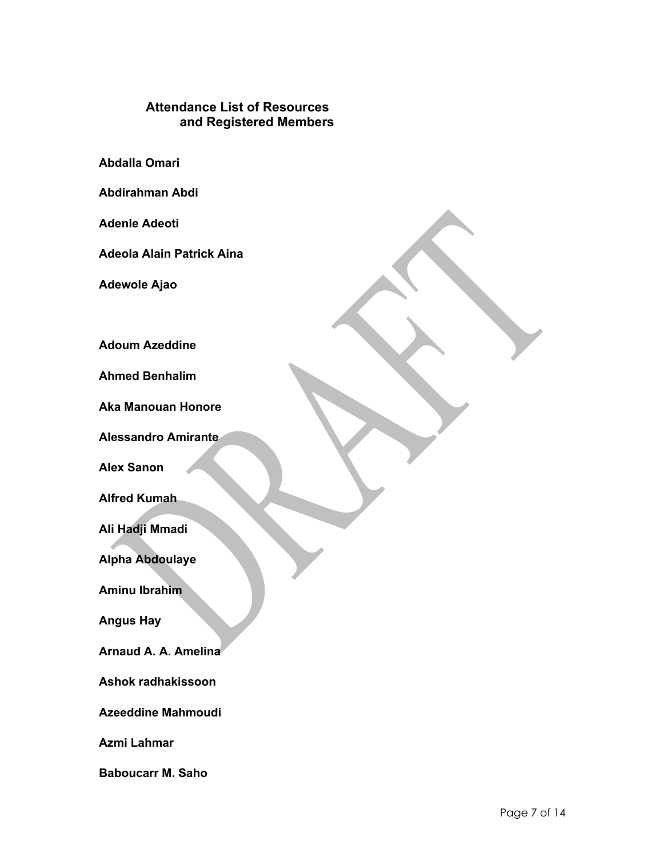#### **Attendance List of Resources and Registered Members**

**Abdalla Omari**

**Abdirahman Abdi**

**Adenle Adeoti**

**Adeola Alain Patrick Aina**

**Adewole Ajao**

**Adoum Azeddine**

**Ahmed Benhalim**

**Aka Manouan Honore**

**Alessandro Amirante**

**Alex Sanon**

**Alfred Kumah**

**Ali Hadji Mmadi**

**Alpha Abdoulaye**

**Aminu Ibrahim**

**Angus Hay**

**Arnaud A. A. Amelina**

**Ashok radhakissoon**

**Azeeddine Mahmoudi**

**Azmi Lahmar**

**Baboucarr M. Saho**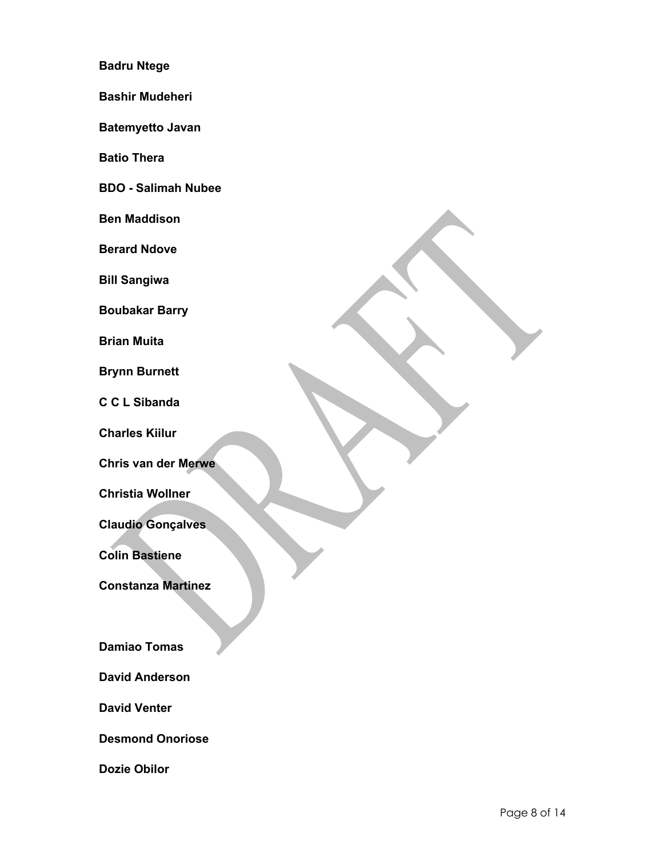#### **Badru Ntege**

**Bashir Mudeheri**

**Batemyetto Javan**

**Batio Thera**

**BDO - Salimah Nubee**

**Ben Maddison**

**Berard Ndove**

**Bill Sangiwa**

**Boubakar Barry**

**Brian Muita**

**Brynn Burnett**

**C C L Sibanda**

**Charles Kiilur**

**Chris van der Merwe**

**Christia Wollner**

**Claudio Gonçalves**

**Colin Bastiene**

**Constanza Martinez**

**Damiao Tomas**

**David Anderson**

**David Venter**

**Desmond Onoriose**

**Dozie Obilor**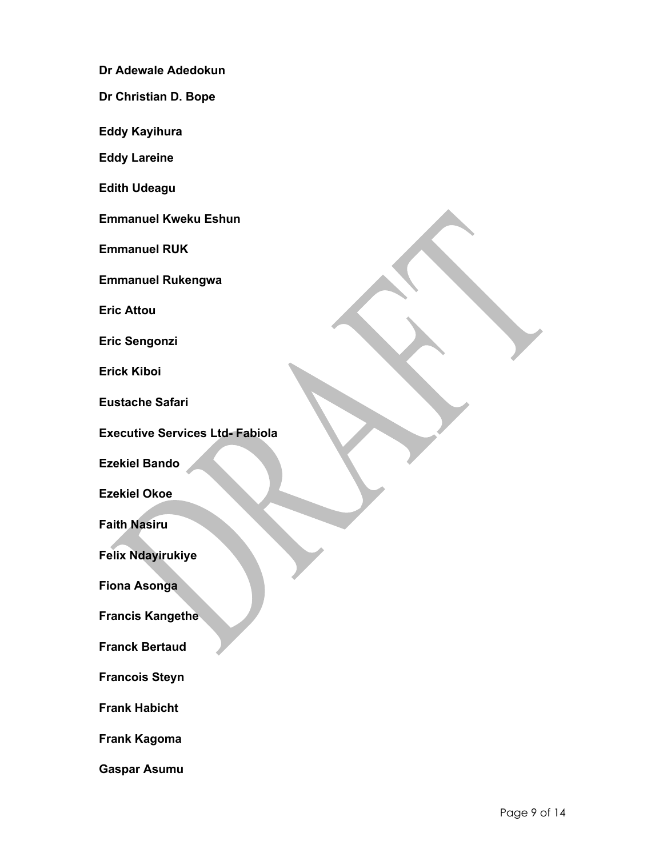**Dr Adewale Adedokun**

**Dr Christian D. Bope**

**Eddy Kayihura**

**Eddy Lareine**

**Edith Udeagu**

**Emmanuel Kweku Eshun**

**Emmanuel RUK**

**Emmanuel Rukengwa**

**Eric Attou**

**Eric Sengonzi**

**Erick Kiboi**

**Eustache Safari**

**Executive Services Ltd- Fabiola**

**Ezekiel Bando**

**Ezekiel Okoe**

**Faith Nasiru**

**Felix Ndayirukiye**

**Fiona Asonga**

**Francis Kangethe**

**Franck Bertaud**

**Francois Steyn**

**Frank Habicht**

**Frank Kagoma**

**Gaspar Asumu**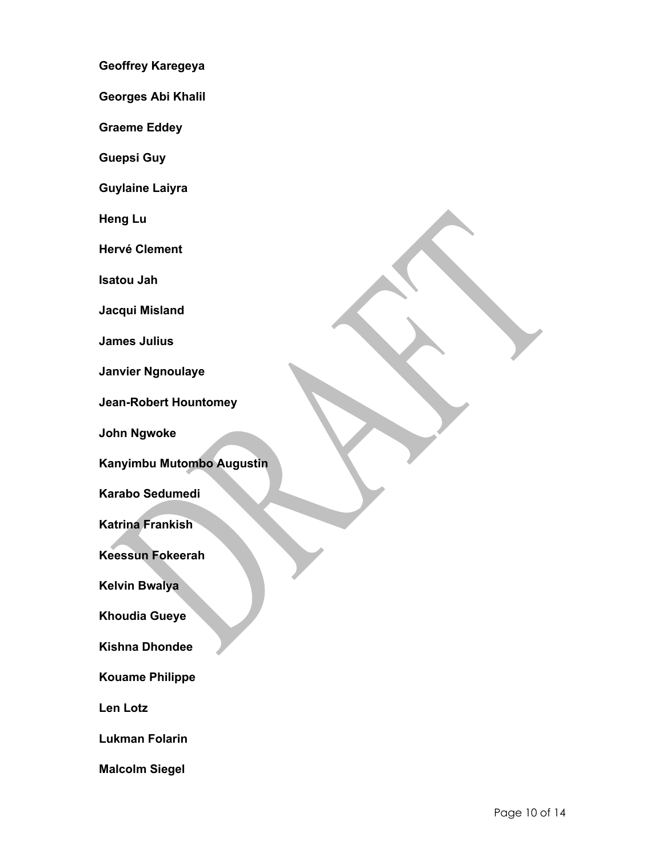**Geoffrey Karegeya**

**Georges Abi Khalil**

**Graeme Eddey**

**Guepsi Guy**

**Guylaine Laiyra**

**Heng Lu**

**Hervé Clement**

**Isatou Jah**

**Jacqui Misland**

**James Julius**

**Janvier Ngnoulaye**

**Jean-Robert Hountomey**

**John Ngwoke**

**Kanyimbu Mutombo Augustin**

**Karabo Sedumedi**

**Katrina Frankish**

**Keessun Fokeerah**

**Kelvin Bwalya**

**Khoudia Gueye**

**Kishna Dhondee**

**Kouame Philippe**

**Len Lotz**

**Lukman Folarin**

**Malcolm Siegel**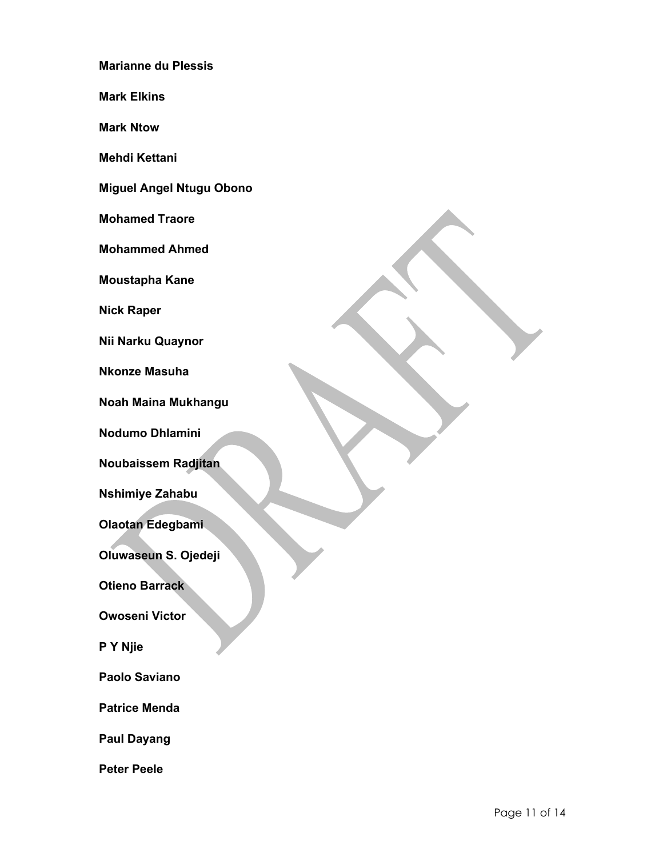**Marianne du Plessis**

**Mark Elkins**

**Mark Ntow**

**Mehdi Kettani**

**Miguel Angel Ntugu Obono**

**Mohamed Traore**

**Mohammed Ahmed**

**Moustapha Kane**

**Nick Raper**

**Nii Narku Quaynor**

**Nkonze Masuha**

**Noah Maina Mukhangu**

**Nodumo Dhlamini**

**Noubaissem Radjitan**

**Nshimiye Zahabu**

**Olaotan Edegbami**

**Oluwaseun S. Ojedeji**

**Otieno Barrack**

**Owoseni Victor**

**P Y Njie**

**Paolo Saviano**

**Patrice Menda**

**Paul Dayang**

**Peter Peele**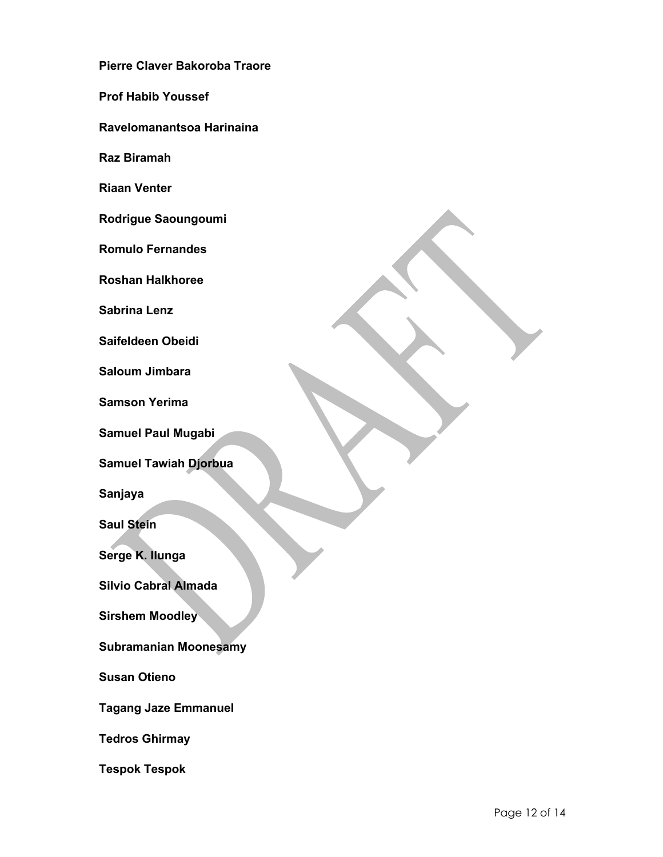**Pierre Claver Bakoroba Traore**

**Prof Habib Youssef**

**Ravelomanantsoa Harinaina**

**Raz Biramah**

**Riaan Venter**

**Rodrigue Saoungoumi**

**Romulo Fernandes**

**Roshan Halkhoree**

**Sabrina Lenz**

**Saifeldeen Obeidi**

**Saloum Jimbara**

**Samson Yerima**

**Samuel Paul Mugabi**

**Samuel Tawiah Djorbua**

**Sanjaya**

**Saul Stein**

**Serge K. Ilunga**

**Silvio Cabral Almada**

**Sirshem Moodley**

**Subramanian Moonesamy**

**Susan Otieno**

**Tagang Jaze Emmanuel**

**Tedros Ghirmay**

**Tespok Tespok**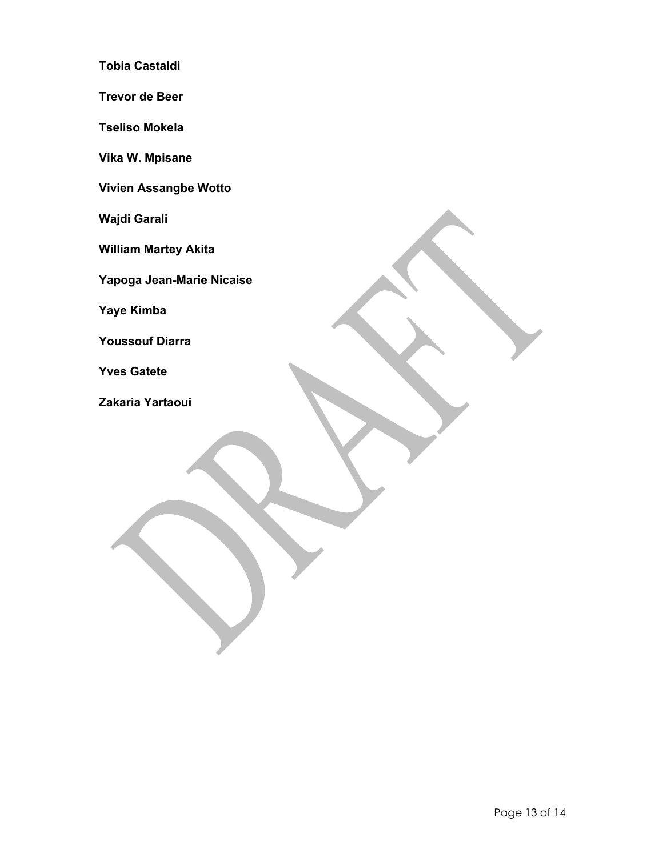**Tobia Castaldi**

**Trevor de Beer**

**Tseliso Mokela**

**Vika W. Mpisane**

**Vivien Assangbe Wotto**

**Wajdi Garali**

**William Martey Akita**

**Yapoga Jean-Marie Nicaise**

**Yaye Kimba**

**Youssouf Diarra**

**Yves Gatete**

**Zakaria Yartaoui**